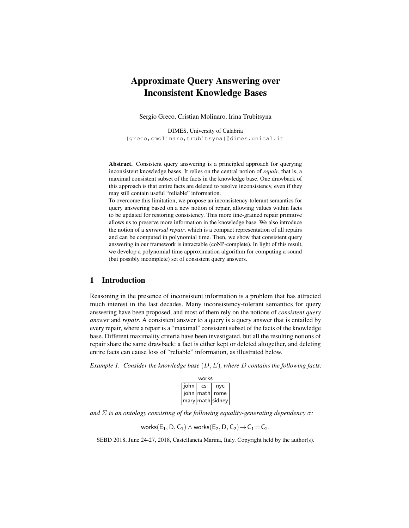# Approximate Query Answering over Inconsistent Knowledge Bases

Sergio Greco, Cristian Molinaro, Irina Trubitsyna

DIMES, University of Calabria {greco,cmolinaro,trubitsyna}@dimes.unical.it

Abstract. Consistent query answering is a principled approach for querying inconsistent knowledge bases. It relies on the central notion of *repair*, that is, a maximal consistent subset of the facts in the knowledge base. One drawback of this approach is that entire facts are deleted to resolve inconsistency, even if they may still contain useful "reliable" information.

To overcome this limitation, we propose an inconsistency-tolerant semantics for query answering based on a new notion of repair, allowing values within facts to be updated for restoring consistency. This more fine-grained repair primitive allows us to preserve more information in the knowledge base. We also introduce the notion of a *universal repair*, which is a compact representation of all repairs and can be computed in polynomial time. Then, we show that consistent query answering in our framework is intractable (coNP-complete). In light of this result, we develop a polynomial time approximation algorithm for computing a sound (but possibly incomplete) set of consistent query answers.

## 1 Introduction

Reasoning in the presence of inconsistent information is a problem that has attracted much interest in the last decades. Many inconsistency-tolerant semantics for query answering have been proposed, and most of them rely on the notions of *consistent query answer* and *repair*. A consistent answer to a query is a query answer that is entailed by every repair, where a repair is a "maximal" consistent subset of the facts of the knowledge base. Different maximality criteria have been investigated, but all the resulting notions of repair share the same drawback: a fact is either kept or deleted altogether, and deleting entire facts can cause loss of "reliable" information, as illustrated below.

*Example 1. Consider the knowledge base* (D, Σ)*, where* D *contains the following facts:*

| works |    |                    |
|-------|----|--------------------|
| john  | CS | nyc                |
|       |    | john   math   rome |
|       |    | mary math sidney   |

*and*  $\Sigma$  *is an ontology consisting of the following equality-generating dependency*  $\sigma$ *:* 

works(E<sub>1</sub>, D, C<sub>1</sub>)  $\wedge$  works(E<sub>2</sub>, D, C<sub>2</sub>)  $\rightarrow$  C<sub>1</sub> = C<sub>2</sub>.

SEBD 2018, June 24-27, 2018, Castellaneta Marina, Italy. Copyright held by the author(s).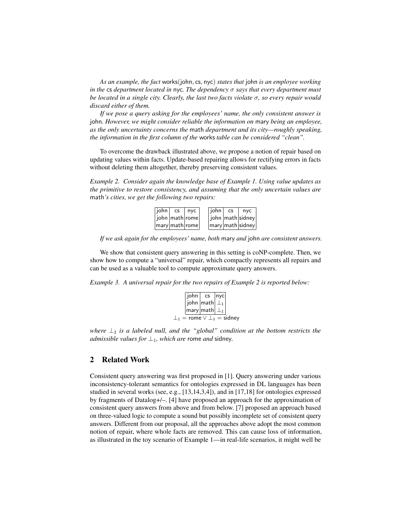*As an example, the fact* works(john, cs, nyc) *states that* john *is an employee working in the* cs *department located in* nyc*. The dependency* σ *says that every department must be located in a single city. Clearly, the last two facts violate* σ*, so every repair would discard either of them.*

*If we pose a query asking for the employees' name, the only consistent answer is* john*. However, we might consider reliable the information on* mary *being an employee, as the only uncertainty concerns the* math *department and its city—roughly speaking, the information in the first column of the* works *table can be considered "clean".*

To overcome the drawback illustrated above, we propose a notion of repair based on updating values within facts. Update-based repairing allows for rectifying errors in facts without deleting them altogether, thereby preserving consistent values.

*Example 2. Consider again the knowledge base of Example 1. Using value updates as the primitive to restore consistency, and assuming that the only uncertain values are* math*'s cities, we get the following two repairs:*



*If we ask again for the employees' name, both* mary *and* john *are consistent answers.*

We show that consistent query answering in this setting is coNP-complete. Then, we show how to compute a "universal" repair, which compactly represents all repairs and can be used as a valuable tool to compute approximate query answers.

*Example 3. A universal repair for the two repairs of Example 2 is reported below:*



*where*  $\perp_1$  *is a labeled null, and the "global" condition at the bottom restricts the admissible values for*  $\perp_1$ *, which are rome and sidney.* 

## 2 Related Work

Consistent query answering was first proposed in [1]. Query answering under various inconsistency-tolerant semantics for ontologies expressed in DL languages has been studied in several works (see, e.g., [13,14,3,4]), and in [17,18] for ontologies expressed by fragments of Datalog+/–. [4] have proposed an approach for the approximation of consistent query answers from above and from below. [7] proposed an approach based on three-valued logic to compute a sound but possibly incomplete set of consistent query answers. Different from our proposal, all the approaches above adopt the most common notion of repair, where whole facts are removed. This can cause loss of information, as illustrated in the toy scenario of Example 1—in real-life scenarios, it might well be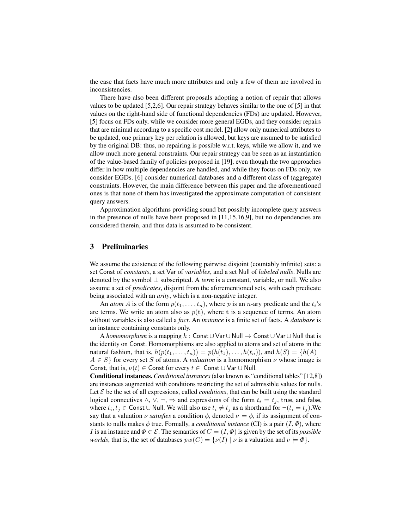the case that facts have much more attributes and only a few of them are involved in inconsistencies.

There have also been different proposals adopting a notion of repair that allows values to be updated [5,2,6]. Our repair strategy behaves similar to the one of [5] in that values on the right-hand side of functional dependencies (FDs) are updated. However, [5] focus on FDs only, while we consider more general EGDs, and they consider repairs that are minimal according to a specific cost model. [2] allow only numerical attributes to be updated, one primary key per relation is allowed, but keys are assumed to be satisfied by the original DB: thus, no repairing is possible w.r.t. keys, while we allow it, and we allow much more general constraints. Our repair strategy can be seen as an instantiation of the value-based family of policies proposed in [19], even though the two approaches differ in how multiple dependencies are handled, and while they focus on FDs only, we consider EGDs. [6] consider numerical databases and a different class of (aggregate) constraints. However, the main difference between this paper and the aforementioned ones is that none of them has investigated the approximate computation of consistent query answers.

Approximation algorithms providing sound but possibly incomplete query answers in the presence of nulls have been proposed in [11,15,16,9], but no dependencies are considered therein, and thus data is assumed to be consistent.

#### 3 Preliminaries

We assume the existence of the following pairwise disjoint (countably infinite) sets: a set Const of *constants*, a set Var of *variables*, and a set Null of *labeled nulls*. Nulls are denoted by the symbol ⊥ subscripted. A *term* is a constant, variable, or null. We also assume a set of *predicates*, disjoint from the aforementioned sets, with each predicate being associated with an *arity*, which is a non-negative integer.

An *atom* A is of the form  $p(t_1, \ldots, t_n)$ , where p is an *n*-ary predicate and the  $t_i$ 's are terms. We write an atom also as  $p(t)$ , where t is a sequence of terms. An atom without variables is also called a *fact*. An *instance* is a finite set of facts. A *database* is an instance containing constants only.

A *homomorphism* is a mapping h : Const ∪ Var ∪ Null → Const ∪ Var ∪ Null that is the identity on Const. Homomorphisms are also applied to atoms and set of atoms in the natural fashion, that is,  $h(p(t_1, \ldots, t_n)) = p(h(t_1), \ldots, h(t_n))$ , and  $h(S) = \{h(A) \mid$  $A \in S$  for every set S of atoms. A *valuation* is a homomorphism  $\nu$  whose image is Const, that is,  $\nu(t) \in$  Const for every  $t \in$  Const  $\cup$  Var  $\cup$  Null.

Conditional instances. *Conditional instances*(also known as "conditional tables" [12,8]) are instances augmented with conditions restricting the set of admissible values for nulls. Let  $\mathcal E$  be the set of all expressions, called *conditions*, that can be built using the standard logical connectives  $\land$ ,  $\lor$ ,  $\neg$ ,  $\Rightarrow$  and expressions of the form  $t_i = t_j$ , true, and false, where  $t_i, t_j \in \text{Const} \cup \text{Null}$ . We will also use  $t_i \neq t_j$  as a shorthand for  $\neg (t_i = t_j)$ . We say that a valuation  $\nu$  *satisfies* a condition  $\phi$ , denoted  $\nu \models \phi$ , if its assignment of constants to nulls makes  $\phi$  true. Formally, a *conditional instance* (CI) is a pair  $(I, \Phi)$ , where I is an instance and  $\Phi \in \mathcal{E}$ . The semantics of  $C = (I, \Phi)$  is given by the set of its *possible worlds*, that is, the set of databases  $pw(C) = \{v(I) | v$  is a valuation and  $v \models \Phi\}.$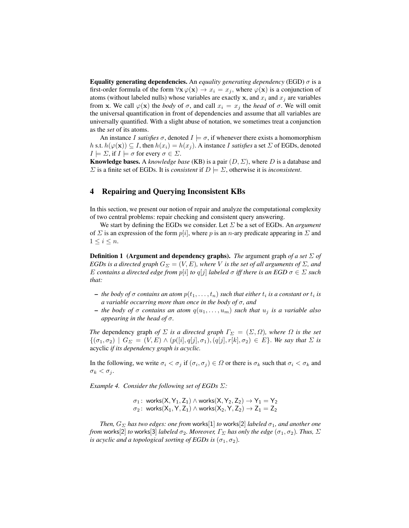Equality generating dependencies. An *equality generating dependency* (EGD) σ is a first-order formula of the form  $\forall x \varphi(x) \rightarrow x_i = x_j$ , where  $\varphi(x)$  is a conjunction of atoms (without labeled nulls) whose variables are exactly x, and  $x_i$  and  $x_j$  are variables from x. We call  $\varphi(x)$  the *body* of  $\sigma$ , and call  $x_i = x_j$  the *head* of  $\sigma$ . We will omit the universal quantification in front of dependencies and assume that all variables are universally quantified. With a slight abuse of notation, we sometimes treat a conjunction as the *set* of its atoms.

An instance I *satisfies*  $\sigma$ , denoted  $I \models \sigma$ , if whenever there exists a homomorphism h s.t.  $h(\varphi(\mathbf{x})) \subseteq I$ , then  $h(x_i) = h(x_j)$ . A instance I *satisfies* a set  $\Sigma$  of EGDs, denoted  $I \models \Sigma$ , if  $I \models \sigma$  for every  $\sigma \in \Sigma$ .

**Knowledge bases.** A *knowledge base* (KB) is a pair  $(D, \Sigma)$ , where D is a database and  $\Sigma$  is a finite set of EGDs. It is *consistent* if  $D \models \Sigma$ , otherwise it is *inconsistent*.

#### 4 Repairing and Querying Inconsistent KBs

In this section, we present our notion of repair and analyze the computational complexity of two central problems: repair checking and consistent query answering.

We start by defining the EGDs we consider. Let Σ be a set of EGDs. An *argument* of  $\Sigma$  is an expression of the form  $p[i]$ , where p is an n-ary predicate appearing in  $\Sigma$  and  $1 \leq i \leq n$ .

Definition 1 (Argument and dependency graphs). *The* argument graph *of a set* Σ *of EGDs is a directed graph*  $G_{\Sigma} = (V, E)$ *, where* V *is the set of all arguments of*  $\Sigma$ *, and* E contains a directed edge from  $p[i]$  to  $q[j]$  labeled  $\sigma$  *iff there is an EGD*  $\sigma \in \Sigma$  *such that:*

- $-$  *the body of*  $\sigma$  *contains an atom*  $p(t_1, \ldots, t_n)$  *such that either*  $t_i$  *is a constant or*  $t_i$  *is a variable occurring more than once in the body of* σ*, and*
- $-$  *the body of*  $\sigma$  *contains an atom*  $q(u_1, \ldots, u_m)$  *such that*  $u_j$  *is a variable also appearing in the head of* σ*.*

*The* dependency graph *of*  $\Sigma$  *is a directed graph*  $\Gamma_{\Sigma} = (\Sigma, \Omega)$ *, where*  $\Omega$  *is the set*  $\{(\sigma_1, \sigma_2) \mid G_{\Sigma} = (V, E) \wedge (p([i], q[j], \sigma_1), (q[j], r[k], \sigma_2) \in E\}.$  *We say that*  $\Sigma$  *is* acyclic *if its dependency graph is acyclic.*

In the following, we write  $\sigma_i < \sigma_j$  if  $(\sigma_i, \sigma_j) \in \Omega$  or there is  $\sigma_k$  such that  $\sigma_i < \sigma_k$  and  $\sigma_k < \sigma_j$ .

*Example 4. Consider the following set of EGDs* Σ*:*

 $\sigma_1\colon$  works $({\mathsf{X}}, {\mathsf{Y}}_1, {\mathsf{Z}}_1) \wedge$  works $({\mathsf{X}}, {\mathsf{Y}}_2, {\mathsf{Z}}_2) \to {\mathsf{Y}}_1 = {\mathsf{Y}}_2$  $\sigma_2\colon$  works $(\mathsf{X}_1,\mathsf{Y},\mathsf{Z}_1)\wedge$  works $(\mathsf{X}_2,\mathsf{Y},\mathsf{Z}_2)\to\mathsf{Z}_1=\mathsf{Z}_2$ 

*Then,*  $G_{\Sigma}$  *has two edges: one from works*[1] *to* works[2] *labeled*  $\sigma_1$ *, and another one from* works[2] *to* works[3] *labeled*  $\sigma_2$ *. Moreover,*  $\Gamma_{\Sigma}$  *has only the edge* ( $\sigma_1, \sigma_2$ )*. Thus,*  $\Sigma$ *is acyclic and a topological sorting of EGDs is*  $(\sigma_1, \sigma_2)$ *.*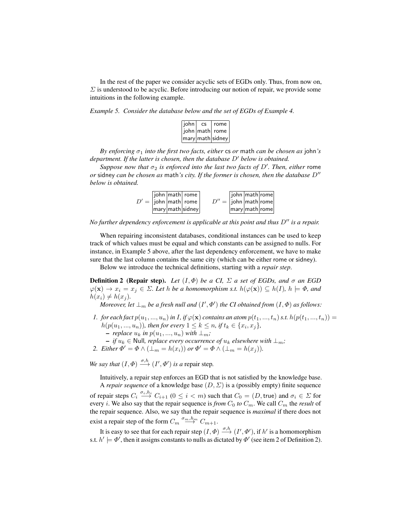In the rest of the paper we consider acyclic sets of EGDs only. Thus, from now on,  $\Sigma$  is understood to be acyclic. Before introducing our notion of repair, we provide some intuitions in the following example.

*Example 5. Consider the database below and the set of EGDs of Example 4.*

| john | CS | rome l                                 |
|------|----|----------------------------------------|
|      |    | john   math   rome                     |
|      |    | $ \text{mary} $ math $ \text{sidney} $ |

*By enforcing*  $\sigma_1$  *into the first two facts, either* cs *or* math *can be chosen as* john's *department. If the latter is chosen, then the database D' below is obtained.* 

*Suppose now that*  $\sigma_2$  *is enforced into the last two facts of D'. Then, either rome*  $\alpha$  sidney *can be chosen as* math's *city. If the former is chosen, then the database*  $D''$ *below is obtained.*

|  | john   math   rome                               |                                        | john math rome                         |  |
|--|--------------------------------------------------|----------------------------------------|----------------------------------------|--|
|  | $D' =  $ john   math   rome                      | $D'' =  \text{iohn} \text{math} $ rome |                                        |  |
|  | $\vert$ mary $\vert$ math $\vert$ sidney $\vert$ |                                        | $\vert$ mary $\vert$ math $\vert$ rome |  |

*No further dependency enforcement is applicable at this point and thus D<sup><i>n*</sup> *is a repair.* 

When repairing inconsistent databases, conditional instances can be used to keep track of which values must be equal and which constants can be assigned to nulls. For instance, in Example 5 above, after the last dependency enforcement, we have to make sure that the last column contains the same city (which can be either rome or sidney).

Below we introduce the technical definitions, starting with a *repair step*.

**Definition 2 (Repair step).** Let  $(I, \Phi)$  be a CI,  $\Sigma$  a set of EGDs, and  $\sigma$  an EGD  $\varphi(\mathbf{x}) \to x_i = x_j \in \Sigma$ . Let h be a homomorphism s.t.  $h(\varphi(\mathbf{x})) \subseteq h(I)$ ,  $h \models \Phi$ , and  $h(x_i) \neq h(x_j)$ .

*Moreover, let*  $\perp_m$  *be a fresh null and*  $(I', \Phi')$  *the CI obtained from*  $(I, \Phi)$  *as follows:* 

- *1. for each fact*  $p(u_1, ..., u_n)$  *in I*, *if*  $\varphi(\mathbf{x})$  *contains an atom*  $p(t_1, ..., t_n)$  *s.t.*  $h(p(t_1, ..., t_n))$  =  $h(p(u_1, ..., u_n))$ , then for every  $1 \le k \le n$ , if  $t_k \in \{x_i, x_j\}$ , *− replace*  $u_k$  *in*  $p(u_1, ..., u_n)$  *with* ⊥<sub>*m</sub>*;</sub>
- $\mathbf{v} \mathbf{i} f u_k \in \mathbb{N}$ ull, *replace every occurrence of*  $u_k$  *elsewhere with* ⊥<sub>*m</sub>*;</sub>
- 2. *Either*  $\Phi' = \Phi \wedge (\perp_m = h(x_i))$  *or*  $\Phi' = \Phi \wedge (\perp_m = h(x_j)).$

*We say that*  $(I, \Phi) \xrightarrow{\sigma, h} (I', \Phi')$  *is a* repair step.

Intuitively, a repair step enforces an EGD that is not satisfied by the knowledge base. A *repair sequence* of a knowledge base  $(D, \Sigma)$  is a (possibly empty) finite sequence

of repair steps  $C_i \stackrel{\sigma_i,h_i}{\longrightarrow} C_{i+1}$   $(0 \le i < m)$  such that  $C_0 = (D,$  true) and  $\sigma_i \in \Sigma$  for every *i*. We also say that the repair sequence is *from*  $C_0$  *to*  $C_m$ . We call  $C_m$  the *result* of the repair sequence. Also, we say that the repair sequence is *maximal* if there does not exist a repair step of the form  $C_m \stackrel{\sigma_m,h_m}{\longrightarrow} C_{m+1}.$ 

It is easy to see that for each repair step  $(I, \Phi) \stackrel{\sigma, h}{\longrightarrow} (I', \Phi')$ , if  $h'$  is a homomorphism s.t.  $h' \models \Phi'$ , then it assigns constants to nulls as dictated by  $\Phi'$  (see item 2 of Definition 2).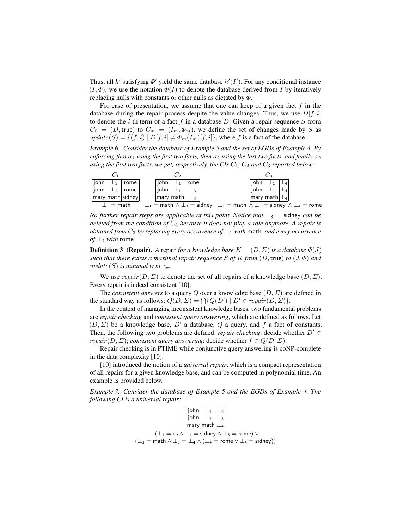Thus, all  $h'$  satisfying  $\Phi'$  yield the same database  $h'(I')$ . For any conditional instance  $(I, \Phi)$ , we use the notation  $\Phi(I)$  to denote the database derived from I by iteratively replacing nulls with constants or other nulls as dictated by  $\Phi$ .

For ease of presentation, we assume that one can keep of a given fact  $f$  in the database during the repair process despite the value changes. Thus, we use  $D[f, i]$ to denote the  $i$ -th term of a fact  $f$  in a database  $D$ . Given a repair sequence  $S$  from  $C_0 = (D, \text{true})$  to  $C_m = (I_m, \Phi_m)$ , we define the set of changes made by S as  $update(S) = \{(f, i) | D[f, i] \neq \Phi_m(I_m)[f, i]\}$ , where f is a fact of the database.

*Example 6. Consider the database of Example 5 and the set of EGDs of Example 4. By enforcing first*  $\sigma_1$  *using the first two facts, then*  $\sigma_2$  *using the last two facts, and finally*  $\sigma_2$ *using the first two facts, we get, respectively, the CIs*  $C_1$ ,  $C_2$  *and*  $C_3$  *reported below:* 



*No further repair steps are applicable at this point. Notice that*  $\perp_3$  = sidney *can be deleted from the condition of* C<sup>3</sup> *because it does not play a role anymore. A repair is obtained from* C<sup>3</sup> *by replacing every occurrence of* ⊥<sup>1</sup> *with* math*, and every occurrence of* ⊥<sup>4</sup> *with* rome*.*

**Definition 3 (Repair).** A repair *for a knowledge base*  $K = (D, \Sigma)$  *is a database*  $\Phi(J)$ *such that there exists a maximal repair sequence* S of K from  $(D, true)$  *to*  $(J, \Phi)$  *and*  $update(S)$  *is minimal w.r.t.*  $\subset$ *.* 

We use  $repair(D, \Sigma)$  to denote the set of all repairs of a knowledge base  $(D, \Sigma)$ . Every repair is indeed consistent [10].

The *consistent answers* to a query Q over a knowledge base (D, Σ) are defined in the standard way as follows:  $Q(D, \Sigma) = \bigcap \{ Q(D') \mid D' \in repair(D, \Sigma) \}.$ 

In the context of managing inconsistent knowledge bases, two fundamental problems are *repair checking* and *consistent query answering*, which are defined as follows. Let  $(D, \Sigma)$  be a knowledge base,  $D'$  a database,  $Q$  a query, and  $f$  a fact of constants. Then, the following two problems are defined: *repair checking*: decide whether  $D' \in$ *repair*  $(D, \Sigma)$ ; *consistent query answering*: decide whether  $f \in Q(D, \Sigma)$ .

Repair checking is in PTIME while conjunctive query answering is coNP-complete in the data complexity [10].

[10] introduced the notion of a *universal repair*, which is a compact representation of all repairs for a given knowledge base, and can be computed in polynomial time. An example is provided below.

*Example 7. Consider the database of Example 5 and the EGDs of Example 4. The following CI is a universal repair:*

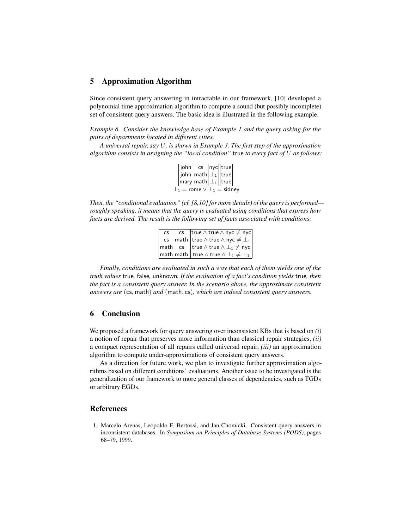### 5 Approximation Algorithm

Since consistent query answering in intractable in our framework, [10] developed a polynomial time approximation algorithm to compute a sound (but possibly incomplete) set of consistent query answers. The basic idea is illustrated in the following example.

*Example 8. Consider the knowledge base of Example 1 and the query asking for the pairs of departments located in different cities.*

*A universal repair, say* U*, is shown in Example 3. The first step of the approximation algorithm consists in assigning the "local condition"* true *to every fact of* U *as follows:*

|                                          |  | john  cs  nyc  true                                          |  |  |  |
|------------------------------------------|--|--------------------------------------------------------------|--|--|--|
|                                          |  | $\vert$ john $\vert$ math $\vert \perp_1 \vert$ true $\vert$ |  |  |  |
|                                          |  | $ \textsf{mary} $ math $ \perp_1 $  true $ \textsf{ }$       |  |  |  |
| $\perp_1$ = rome $\vee \perp_1$ = sidney |  |                                                              |  |  |  |

*Then, the "conditional evaluation" (cf. [8,10] for more details) of the query is performed roughly speaking, it means that the query is evaluated using conditions that express how facts are derived. The result is the following set of facts associated with conditions:*

| CS              | cs $\ $ true $\wedge$ true $\wedge$ nyc $\neq$ nyc                                                            |
|-----------------|---------------------------------------------------------------------------------------------------------------|
| $\mathsf{CS}\,$ | $\ \textsf{math}\ $ true $\wedge$ true $\wedge$ nyc $\neq \perp_1$                                            |
|                 | $ \mathsf{math}  \; \mathsf{cs} \;    \mathsf{true} \wedge \mathsf{true} \wedge \perp_1 \neq \mathsf{nyc}   $ |
|                 | $ \mathsf{math} $ math $ \mathsf{math} \ $ true $\wedge$ true $\wedge \perp_1 \neq \perp_1 $                  |

*Finally, conditions are evaluated in such a way that each of them yields one of the truth values* true*,* false*,* unknown*. If the evaluation of a fact's condition yields* true*, then the fact is a consistent query answer. In the scenario above, the approximate consistent answers are* (cs, math) *and* (math, cs)*, which are indeed consistent query answers.*

#### 6 Conclusion

We proposed a framework for query answering over inconsistent KBs that is based on *(i)* a notion of repair that preserves more information than classical repair strategies, *(ii)* a compact representation of all repairs called universal repair, *(iii)* an approximation algorithm to compute under-approximations of consistent query answers.

As a direction for future work, we plan to investigate further approximation algorithms based on different conditions' evaluations. Another issue to be investigated is the generalization of our framework to more general classes of dependencies, such as TGDs or arbitrary EGDs.

#### **References**

1. Marcelo Arenas, Leopoldo E. Bertossi, and Jan Chomicki. Consistent query answers in inconsistent databases. In *Symposium on Principles of Database Systems (PODS)*, pages 68–79, 1999.